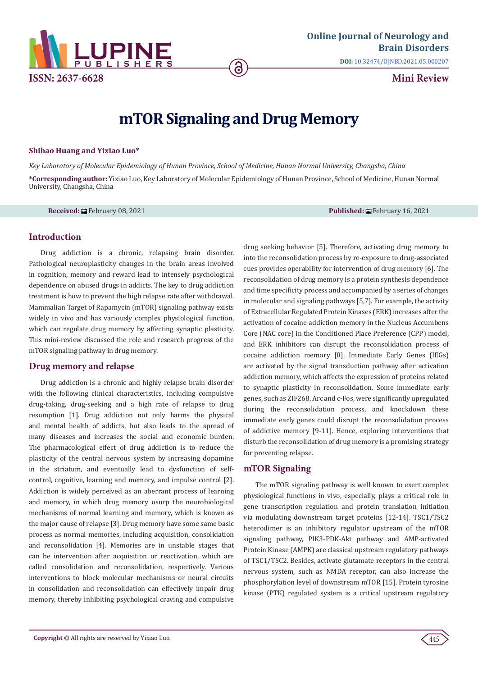

# **mTOR Signaling and Drug Memory**

ခ

#### **Shihao Huang and Yixiao Luo\***

*Key Laboratory of Molecular Epidemiology of Hunan Province, School of Medicine, Hunan Normal University, Changsha, China*

**\*Corresponding author:** Yixiao Luo, Key Laboratory of Molecular Epidemiology of Hunan Province, School of Medicine, Hunan Normal University, Changsha, China

**Received:** February 08, 2021 **Published:** February 16, 2021

## **Introduction**

Drug addiction is a chronic, relapsing brain disorder. Pathological neuroplasticity changes in the brain areas involved in cognition, memory and reward lead to intensely psychological dependence on abused drugs in addicts. The key to drug addiction treatment is how to prevent the high relapse rate after withdrawal. Mammalian Target of Rapamycin (mTOR) signaling pathway exists widely in vivo and has variously complex physiological function, which can regulate drug memory by affecting synaptic plasticity. This mini-review discussed the role and research progress of the mTOR signaling pathway in drug memory.

## **Drug memory and relapse**

Drug addiction is a chronic and highly relapse brain disorder with the following clinical characteristics, including compulsive drug-taking, drug-seeking and a high rate of relapse to drug resumption [1]. Drug addiction not only harms the physical and mental health of addicts, but also leads to the spread of many diseases and increases the social and economic burden. The pharmacological effect of drug addiction is to reduce the plasticity of the central nervous system by increasing dopamine in the striatum, and eventually lead to dysfunction of selfcontrol, cognitive, learning and memory, and impulse control [2]. Addiction is widely perceived as an aberrant process of learning and memory, in which drug memory usurp the neurobiological mechanisms of normal learning and memory, which is known as the major cause of relapse [3]. Drug memory have some same basic process as normal memories, including acquisition, consolidation and reconsolidation [4]. Memories are in unstable stages that can be intervention after acquisition or reactivation, which are called consolidation and reconsolidation, respectively. Various interventions to block molecular mechanisms or neural circuits in consolidation and reconsolidation can effectively impair drug memory, thereby inhibiting psychological craving and compulsive

drug seeking behavior [5]. Therefore, activating drug memory to into the reconsolidation process by re-exposure to drug-associated cues provides operability for intervention of drug memory [6]. The reconsolidation of drug memory is a protein synthesis dependence and time specificity process and accompanied by a series of changes in molecular and signaling pathways [5,7]. For example, the activity of Extracellular Regulated Protein Kinases (ERK) increases after the activation of cocaine addiction memory in the Nucleus Accumbens Core (NAC core) in the Conditioned Place Preference (CPP) model, and ERK inhibitors can disrupt the reconsolidation process of cocaine addiction memory [8]. Immediate Early Genes (IEGs) are activated by the signal transduction pathway after activation addiction memory, which affects the expression of proteins related to synaptic plasticity in reconsolidation. Some immediate early genes, such as ZIF268, Arc and c-Fos, were significantly upregulated during the reconsolidation process, and knockdown these immediate early genes could disrupt the reconsolidation process of addictive memory [9-11]. Hence, exploring interventions that disturb the reconsolidation of drug memory is a promising strategy for preventing relapse.

# **mTOR Signaling**

The mTOR signaling pathway is well known to exert complex physiological functions in vivo, especially, plays a critical role in gene transcription regulation and protein translation initiation via modulating downstream target proteins [12-14]. TSC1/TSC2 heterodimer is an inhibitory regulator upstream of the mTOR signaling pathway, PIK3-PDK-Akt pathway and AMP-activated Protein Kinase (AMPK) are classical upstream regulatory pathways of TSC1/TSC2. Besides, activate glutamate receptors in the central nervous system, such as NMDA receptor, can also increase the phosphorylation level of downstream mTOR [15]. Protein tyrosine kinase (PTK) regulated system is a critical upstream regulatory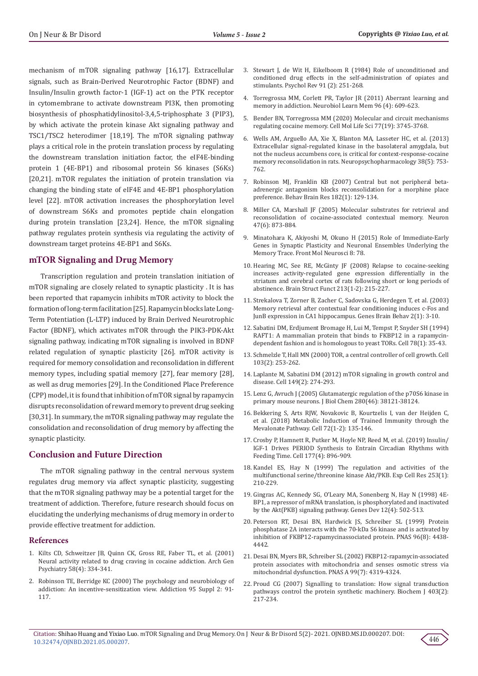mechanism of mTOR signaling pathway [16,17]. Extracellular signals, such as Brain-Derived Neurotrophic Factor (BDNF) and Insulin/Insulin growth factor-1 (IGF-1) act on the PTK receptor in cytomembrane to activate downstream PI3K, then promoting biosynthesis of phosphatidylinositol-3,4,5-triphosphate 3 (PIP3), by which activate the protein kinase Akt signaling pathway and TSC1/TSC2 heterodimer [18,19]. The mTOR signaling pathway plays a critical role in the protein translation process by regulating the downstream translation initiation factor, the eIF4E-binding protein 1 (4E-BP1) and ribosomal protein S6 kinases (S6Ks) [20,21]. mTOR regulates the initiation of protein translation via changing the binding state of eIF4E and 4E-BP1 phosphorylation level [22]. mTOR activation increases the phosphorylation level of downstream S6Ks and promotes peptide chain elongation during protein translation [23,24]. Hence, the mTOR signaling pathway regulates protein synthesis via regulating the activity of downstream target proteins 4E-BP1 and S6Ks.

# **mTOR Signaling and Drug Memory**

Transcription regulation and protein translation initiation of mTOR signaling are closely related to synaptic plasticity . It is has been reported that rapamycin inhibits mTOR activity to block the formation of long-term facilitation [25]. Rapamycin blocks late Long-Term Potentiation (L-LTP) induced by Brain Derived Neurotrophic Factor (BDNF), which activates mTOR through the PIK3-PDK-Akt signaling pathway, indicating mTOR signaling is involved in BDNF related regulation of synaptic plasticity [26]. mTOR activity is required for memory consolidation and reconsolidation in different memory types, including spatial memory [27], fear memory [28], as well as drug memories [29]. In the Conditioned Place Preference (CPP) model, it is found that inhibition of mTOR signal by rapamycin disrupts reconsolidation of reward memory to prevent drug seeking [30,31]. In summary, the mTOR signaling pathway may regulate the consolidation and reconsolidation of drug memory by affecting the synaptic plasticity.

## **Conclusion and Future Direction**

The mTOR signaling pathway in the central nervous system regulates drug memory via affect synaptic plasticity, suggesting that the mTOR signaling pathway may be a potential target for the treatment of addiction. Therefore, future research should focus on elucidating the underlying mechanisms of drug memory in order to provide effective treatment for addiction.

#### **References**

- 1. [Kilts CD, Schweitzer JB, Quinn CK, Gross RE, Faber TL, et al. \(2001\)](https://pubmed.ncbi.nlm.nih.gov/11296093/)  [Neural activity related to drug craving in cocaine addiction. Arch Gen](https://pubmed.ncbi.nlm.nih.gov/11296093/)  [Psychiatry 58\(4\): 334-341.](https://pubmed.ncbi.nlm.nih.gov/11296093/)
- 2. [Robinson TE, Berridge KC \(2000\) The psychology and neurobiology of](https://pubmed.ncbi.nlm.nih.gov/11002906/)  [addiction: An incentive-sensitization view. Addiction 95 Suppl 2: 91-](https://pubmed.ncbi.nlm.nih.gov/11002906/) [117.](https://pubmed.ncbi.nlm.nih.gov/11002906/)
- 3. [Stewart J, de Wit H, Eikelboom R \(1984\) Role of unconditioned and](https://pubmed.ncbi.nlm.nih.gov/6571424/) [conditioned drug effects in the self-administration of opiates and](https://pubmed.ncbi.nlm.nih.gov/6571424/) [stimulants. Psychol Rev 91 \(2\): 251-268.](https://pubmed.ncbi.nlm.nih.gov/6571424/)
- 4. [Torregrossa MM, Corlett PR, Taylor JR \(2011\) Aberrant learning and](https://pubmed.ncbi.nlm.nih.gov/21376820/) [memory in addiction. Neurobiol Learn Mem 96 \(4\): 609-623.](https://pubmed.ncbi.nlm.nih.gov/21376820/)
- 5. [Bender BN, Torregrossa MM \(2020\) Molecular and circuit mechanisms](https://pubmed.ncbi.nlm.nih.gov/32172301/) [regulating cocaine memory. Cell Mol Life Sci 77\(19\): 3745-3768.](https://pubmed.ncbi.nlm.nih.gov/32172301/)
- 6. [Wells AM, Arguello AA, Xie X, Blanton MA, Lasseter HC, et al. \(2013\)](https://pubmed.ncbi.nlm.nih.gov/23232446/) [Extracellular signal-regulated kinase in the basolateral amygdala, but](https://pubmed.ncbi.nlm.nih.gov/23232446/) [not the nucleus accumbens core, is critical for context-response-cocaine](https://pubmed.ncbi.nlm.nih.gov/23232446/) [memory reconsolidation in rats. Neuropsychopharmacology 38\(5\): 753-](https://pubmed.ncbi.nlm.nih.gov/23232446/) [762.](https://pubmed.ncbi.nlm.nih.gov/23232446/)
- 7. [Robinson MJ, Franklin KB \(2007\) Central but not peripheral beta](https://pubmed.ncbi.nlm.nih.gov/17604134/)[adrenergic antagonism blocks reconsolidation for a morphine place](https://pubmed.ncbi.nlm.nih.gov/17604134/) [preference. Behav Brain Res 182\(1\): 129-134.](https://pubmed.ncbi.nlm.nih.gov/17604134/)
- 8. [Miller CA, Marshall JF \(2005\) Molecular substrates for retrieval and](https://pubmed.ncbi.nlm.nih.gov/16157281/) [reconsolidation of cocaine-associated contextual memory. Neuron](https://pubmed.ncbi.nlm.nih.gov/16157281/) [47\(6\): 873-884.](https://pubmed.ncbi.nlm.nih.gov/16157281/)
- 9. [Minatohara K, Akiyoshi M, Okuno H \(2015\) Role of Immediate-Early](https://pubmed.ncbi.nlm.nih.gov/26778955/) [Genes in Synaptic Plasticity and Neuronal Ensembles Underlying the](https://pubmed.ncbi.nlm.nih.gov/26778955/) [Memory Trace. Front Mol Neurosci 8: 78.](https://pubmed.ncbi.nlm.nih.gov/26778955/)
- 10. [Hearing MC, See RE, McGinty JF \(2008\) Relapse to cocaine-seeking](https://pubmed.ncbi.nlm.nih.gov/18488248/) [increases activity-regulated gene expression differentially in the](https://pubmed.ncbi.nlm.nih.gov/18488248/) [striatum and cerebral cortex of rats following short or long periods of](https://pubmed.ncbi.nlm.nih.gov/18488248/) [abstinence. Brain Struct Funct 213\(1-2\): 215-227.](https://pubmed.ncbi.nlm.nih.gov/18488248/)
- 11. Strekalova T, Zorner B, Zacher C, Sadovska G, Herdegen T, et al. (2003) Memory retrieval after contextual fear conditioning induces c-Fos and JunB expression in CA1 hippocampus. Genes Brain Behav 2(1): 3-10.
- 12. [Sabatini DM, Erdjument Bromage H, Lui M, Tempst P, Snyder SH \(1994\)](https://pubmed.ncbi.nlm.nih.gov/7518356/) [RAFT1: A mammalian protein that binds to FKBP12 in a rapamycin](https://pubmed.ncbi.nlm.nih.gov/7518356/)[dependent fashion and is homologous to yeast TORs. Cell 78\(1\): 35-43.](https://pubmed.ncbi.nlm.nih.gov/7518356/)
- 13. [Schmelzle T, Hall MN \(2000\) TOR, a central controller of cell growth. Cell](https://pubmed.ncbi.nlm.nih.gov/11057898/) [103\(2\): 253-262.](https://pubmed.ncbi.nlm.nih.gov/11057898/)
- 14. Laplante M, Sabatini DM (2012) mTOR signaling in growth control and disease. Cell 149(2): 274-293.
- 15. [Lenz G, Avruch J \(2005\) Glutamatergic regulation of the p70S6 kinase in](https://pubmed.ncbi.nlm.nih.gov/16183639/) [primary mouse neurons. J Biol Chem 280\(46\): 38121-38124.](https://pubmed.ncbi.nlm.nih.gov/16183639/)
- 16. Bekkering S, Arts RJW, Novakovic B, Kourtzelis I, van der Heijden C, et al. (2018) Metabolic Induction of Trained Immunity through the Mevalonate Pathway. Cell 72(1-2): 135-146.
- 17. [Crosby P, Hamnett R, Putker M, Hoyle NP, Reed M, et al. \(2019\) Insulin/](https://pubmed.ncbi.nlm.nih.gov/31030999/) [IGF-1 Drives PERIOD Synthesis to Entrain Circadian Rhythms with](https://pubmed.ncbi.nlm.nih.gov/31030999/) [Feeding Time. Cell 177\(4\): 896-909.](https://pubmed.ncbi.nlm.nih.gov/31030999/)
- 18. [Kandel ES, Hay N \(1999\) The regulation and activities of the](https://pubmed.ncbi.nlm.nih.gov/10579924/) [multifunctional serine/threonine kinase Akt/PKB. Exp Cell Res 253\(1\):](https://pubmed.ncbi.nlm.nih.gov/10579924/) [210-229.](https://pubmed.ncbi.nlm.nih.gov/10579924/)
- 19. [Gingras AC, Kennedy SG, O'Leary MA, Sonenberg N, Hay N \(1998\) 4E-](https://pubmed.ncbi.nlm.nih.gov/9472019/)[BP1, a repressor of mRNA translation, is phosphorylated and inactivated](https://pubmed.ncbi.nlm.nih.gov/9472019/) [by the Akt\(PKB\) signaling pathway. Genes Dev 12\(4\): 502-513.](https://pubmed.ncbi.nlm.nih.gov/9472019/)
- 20. [Peterson RT, Desai BN, Hardwick JS, Schreiber SL \(1999\) Protein](https://www.pnas.org/content/96/8/4438) [phosphatase 2A interacts with the 70-kDa S6 kinase and is activated by](https://www.pnas.org/content/96/8/4438) [inhibition of FKBP12-rapamycinassociated protein. PNAS 96\(8\): 4438-](https://www.pnas.org/content/96/8/4438) [4442.](https://www.pnas.org/content/96/8/4438)
- 21. [Desai BN, Myers BR, Schreiber SL \(2002\) FKBP12-rapamycin-associated](https://pubmed.ncbi.nlm.nih.gov/11930000/) [protein associates with mitochondria and senses osmotic stress via](https://pubmed.ncbi.nlm.nih.gov/11930000/) [mitochondrial dysfunction. PNAS A 99\(7\): 4319-4324.](https://pubmed.ncbi.nlm.nih.gov/11930000/)
- 22. Proud CG (2007) Signalling to translation: How signal transduction pathways control the protein synthetic machinery. Biochem J 403(2): 217-234.